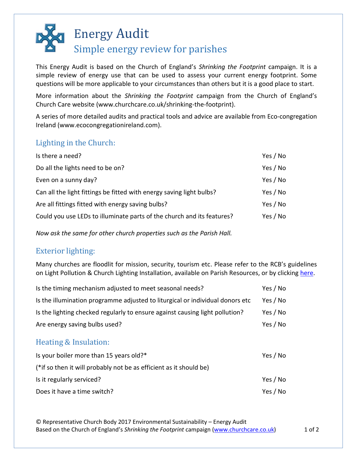## Energy Audit Simple energy review for parishes

This Energy Audit is based on the Church of England's *Shrinking the Footprint* campaign. It is a simple review of energy use that can be used to assess your current energy footprint. Some questions will be more applicable to your circumstances than others but it is a good place to start.

More information about the *Shrinking the Footprint* campaign from the Church of England's Church Care website (www.churchcare.co.uk/shrinking-the-footprint).

A series of more detailed audits and practical tools and advice are available from Eco-congregation Ireland (www.ecocongregationireland.com).

## Lighting in the Church:

| Is there a need?                                                       | Yes / No |
|------------------------------------------------------------------------|----------|
| Do all the lights need to be on?                                       | Yes / No |
| Even on a sunny day?                                                   | Yes / No |
| Can all the light fittings be fitted with energy saving light bulbs?   | Yes / No |
| Are all fittings fitted with energy saving bulbs?                      | Yes / No |
| Could you use LEDs to illuminate parts of the church and its features? | Yes / No |

*Now ask the same for other church properties such as the Parish Hall.* 

## Exterior lighting:

Many churches are floodlit for mission, security, tourism etc. Please refer to the RCB's guidelines on Light Pollution & Church Lighting Installation, available on Parish Resources, or by clicking [here.](https://www.ireland.anglican.org/cmsfiles/pdf/Resources/ParishResources/LandBuildings/Light-Pollution-Policy.pdf)

| Is the timing mechanism adjusted to meet seasonal needs?                       | Yes / No |
|--------------------------------------------------------------------------------|----------|
| Is the illumination programme adjusted to liturgical or individual donors etc. | Yes / No |
| Is the lighting checked regularly to ensure against causing light pollution?   | Yes / No |
| Are energy saving bulbs used?                                                  | Yes / No |
| Heating & Insulation:                                                          |          |

| Is your boiler more than 15 years old?*                            | Yes / No |
|--------------------------------------------------------------------|----------|
| (*if so then it will probably not be as efficient as it should be) |          |
| Is it regularly serviced?                                          | Yes / No |
| Does it have a time switch?                                        | Yes / No |

© Representative Church Body 2017 Environmental Sustainability – Energy Audit Based on the Church of England's *Shrinking the Footprint* campaign [\(www.churchcare.co.uk\)](http://www.churchcare.co.uk/) 1 of 2